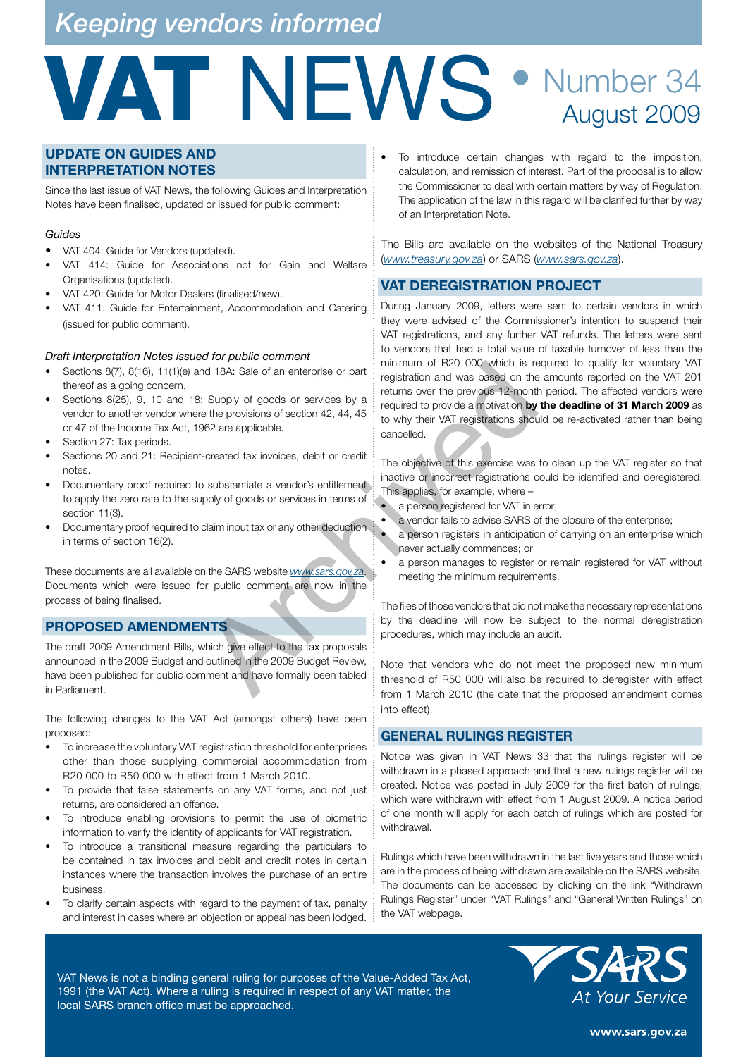## *Keeping vendors informed*

## VAT NEWS • Number 34 August 2009

### **UPDATE ON GUIDES AND INTERPRETATION NOTES**

Since the last issue of VAT News, the following Guides and Interpretation Notes have been finalised, updated or issued for public comment:

### *Guides*

- VAT 404: Guide for Vendors (updated).
- VAT 414: Guide for Associations not for Gain and Welfare Organisations (updated).
- VAT 420: Guide for Motor Dealers (finalised/new).
- VAT 411: Guide for Entertainment, Accommodation and Catering (issued for public comment).

### *Draft Interpretation Notes issued for public comment*

- Sections 8(7), 8(16), 11(1)(e) and 18A: Sale of an enterprise or part thereof as a going concern.
- Sections 8(25), 9, 10 and 18: Supply of goods or services by a vendor to another vendor where the provisions of section 42, 44, 45 or 47 of the Income Tax Act, 1962 are applicable.
- Section 27: Tax periods.
- Sections 20 and 21: Recipient-created tax invoices, debit or credit notes.
- Documentary proof required to substantiate a vendor's entitlement to apply the zero rate to the supply of goods or services in terms of section 11(3).
- Documentary proof required to claim input tax or any other deduction: in terms of section 16(2).

These documents are all available on the SARS website *www.sars.gov.za*. Documents which were issued for public comment are now in the process of being finalised.

### **PROPOSED AMENDMENTS**

The draft 2009 Amendment Bills, which give effect to the tax proposals announced in the 2009 Budget and outlined in the 2009 Budget Review, have been published for public comment and have formally been tabled in Parliament.

The following changes to the VAT Act (amongst others) have been proposed:

- To increase the voluntary VAT registration threshold for enterprises other than those supplying commercial accommodation from R20 000 to R50 000 with effect from 1 March 2010.
- To provide that false statements on any VAT forms, and not just returns, are considered an offence.
- To introduce enabling provisions to permit the use of biometric information to verify the identity of applicants for VAT registration.
- To introduce a transitional measure regarding the particulars to be contained in tax invoices and debit and credit notes in certain instances where the transaction involves the purchase of an entire business.
- To clarify certain aspects with regard to the payment of tax, penalty and interest in cases where an objection or appeal has been lodged.

• To introduce certain changes with regard to the imposition, calculation, and remission of interest. Part of the proposal is to allow the Commissioner to deal with certain matters by way of Regulation. The application of the law in this regard will be clarified further by way of an Interpretation Note.

The Bills are available on the websites of the National Treasury (*www.treasury.gov.za*) or SARS (*www.sars.gov.za*).

### **VAT DEREGISTRATION PROJECT**

During January 2009, letters were sent to certain vendors in which they were advised of the Commissioner's intention to suspend their VAT registrations, and any further VAT refunds. The letters were sent to vendors that had a total value of taxable turnover of less than the minimum of R20 000 which is required to qualify for voluntary VAT registration and was based on the amounts reported on the VAT 201 returns over the previous 12-month period. The affected vendors were required to provide a motivation **by the deadline of 31 March 2009** as to why their VAT registrations should be re-activated rather than being cancelled. are the provides are apply of goods or services by a reduction and was based on the provides of the provides are applicable.<br>
The objection of which was based on the provides and two section 42, 44, 45 required to provide

The objective of this exercise was to clean up the VAT register so that inactive or incorrect registrations could be identified and deregistered. This applies, for example, where –

a person registered for VAT in error;

- a vendor fails to advise SARS of the closure of the enterprise;
- a person registers in anticipation of carrying on an enterprise which never actually commences; or
- a person manages to register or remain registered for VAT without meeting the minimum requirements.

The files of those vendors that did not make the necessary representations by the deadline will now be subject to the normal deregistration procedures, which may include an audit.

Note that vendors who do not meet the proposed new minimum threshold of R50 000 will also be required to deregister with effect from 1 March 2010 (the date that the proposed amendment comes into effect).

### **GENERAL RULINGS REGISTER**

Notice was given in VAT News 33 that the rulings register will be withdrawn in a phased approach and that a new rulings register will be created. Notice was posted in July 2009 for the first batch of rulings, which were withdrawn with effect from 1 August 2009. A notice period of one month will apply for each batch of rulings which are posted for withdrawal.

Rulings which have been withdrawn in the last five years and those which are in the process of being withdrawn are available on the SARS website. The documents can be accessed by clicking on the link "Withdrawn Rulings Register" under "VAT Rulings" and "General Written Rulings" on the VAT webpage.

VAT News is not a binding general ruling for purposes of the Value-Added Tax Act, 1991 (the VAT Act). Where a ruling is required in respect of any VAT matter, the local SARS branch office must be approached.



www.sars.gov.za